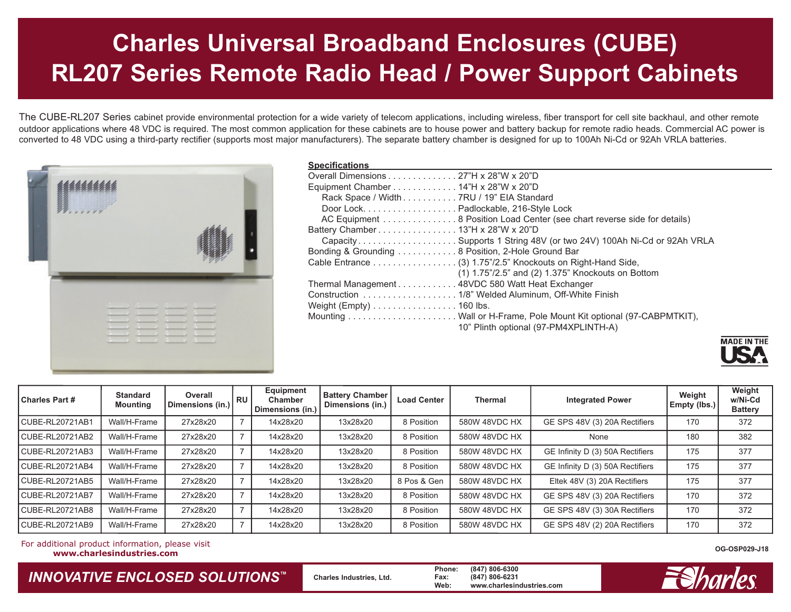## **Charles Universal Broadband Enclosures (CUBE) RL207 Series Remote Radio Head / Power Support Cabinets**

The CUBE-RL207 Series cabinet provide environmental protection for a wide variety of telecom applications, including wireless, fiber transport for cell site backhaul, and other remote outdoor applications where 48 VDC is required. The most common application for these cabinets are to house power and battery backup for remote radio heads. Commercial AC power is converted to 48 VDC using a third-party rectifier (supports most major manufacturers). The separate battery chamber is designed for up to 100Ah Ni-Cd or 92Ah VRLA batteries.



## **Specifications**

| <b>UNGUIILUANUIS</b>                                                     |
|--------------------------------------------------------------------------|
| Overall Dimensions 27"H x 28"W x 20"D                                    |
| Equipment Chamber 14"H x 28"W x 20"D                                     |
| Rack Space / Width 7RU / 19" EIA Standard                                |
| Door Lock. Padlockable, 216-Style Lock                                   |
| AC Equipment 8 Position Load Center (see chart reverse side for details) |
| Battery Chamber 13"H x 28"W x 20"D                                       |
| CapacitySupports 1 String 48V (or two 24V) 100Ah Ni-Cd or 92Ah VRLA      |
| Bonding & Grounding 8 Position, 2-Hole Ground Bar                        |
| Cable Entrance (3) 1.75"/2.5" Knockouts on Right-Hand Side,              |
| (1) 1.75"/2.5" and (2) 1.375" Knockouts on Bottom                        |
| Thermal Management 48VDC 580 Watt Heat Exchanger                         |
| Construction 1/8" Welded Aluminum, Off-White Finish                      |
| Weight (Empty) $\dots\dots\dots\dots\dots\dots$ 160 lbs.                 |
|                                                                          |
| 10" Plinth optional (97-PM4XPLINTH-A)                                    |
|                                                                          |



| <b>Charles Part #</b> | <b>Standard</b><br><b>Mounting</b> | Overall<br>Dimensions (in.) | RU I | Equipment<br><b>Chamber</b><br>Dimensions (in.) | <b>Battery Chamber</b><br>Dimensions (in.) | <b>Load Center</b> | <b>Thermal</b> | <b>Integrated Power</b>          | Weight<br>Empty (lbs.) | Weight<br>w/Ni-Cd<br><b>Battery</b> |
|-----------------------|------------------------------------|-----------------------------|------|-------------------------------------------------|--------------------------------------------|--------------------|----------------|----------------------------------|------------------------|-------------------------------------|
| CUBE-RL20721AB1       | Wall/H-Frame                       | 27x28x20                    |      | 14x28x20                                        | 13x28x20                                   | 8 Position         | 580W 48VDC HX  | GE SPS 48V (3) 20A Rectifiers    | 170                    | 372                                 |
| CUBE-RL20721AB2       | Wall/H-Frame                       | 27x28x20                    |      | 14x28x20                                        | 13x28x20                                   | 8 Position         | 580W 48VDC HX  | None                             | 180                    | 382                                 |
| CUBE-RL20721AB3       | Wall/H-Frame                       | 27x28x20                    |      | 14x28x20                                        | 13x28x20                                   | 8 Position         | 580W 48VDC HX  | GE Infinity D (3) 50A Rectifiers | 175                    | 377                                 |
| CUBE-RL20721AB4       | Wall/H-Frame                       | 27x28x20                    |      | 14x28x20                                        | 13x28x20                                   | 8 Position         | 580W 48VDC HX  | GE Infinity D (3) 50A Rectifiers | 175                    | 377                                 |
| CUBE-RL20721AB5       | Wall/H-Frame                       | 27x28x20                    |      | 14x28x20                                        | 13x28x20                                   | 8 Pos & Gen        | 580W 48VDC HX  | Eltek 48V (3) 20A Rectifiers     | 175                    | 377                                 |
| CUBE-RL20721AB7       | Wall/H-Frame                       | 27x28x20                    |      | 14x28x20                                        | 13x28x20                                   | 8 Position         | 580W 48VDC HX  | GE SPS 48V (3) 20A Rectifiers    | 170                    | 372                                 |
| CUBE-RL20721AB8       | Wall/H-Frame                       | 27x28x20                    |      | 14x28x20                                        | 13x28x20                                   | 8 Position         | 580W 48VDC HX  | GE SPS 48V (3) 30A Rectifiers    | 170                    | 372                                 |
| CUBE-RL20721AB9       | Wall/H-Frame                       | 27x28x20                    |      | 14x28x20                                        | 13x28x20                                   | 8 Position         | 580W 48VDC HX  | GE SPS 48V (2) 20A Rectifiers    | 170                    | 372                                 |

For additional product information, please visit **www.charlesindustries.com**

*INNOVATIVE ENCLOSED SOLUTIONS ™*

 **Charles Industries, Ltd. Phone: (847) 806-6300 Fax: (847) 806-6231 Web: www.charlesindustries.com**



**OG-OSP029-J18**